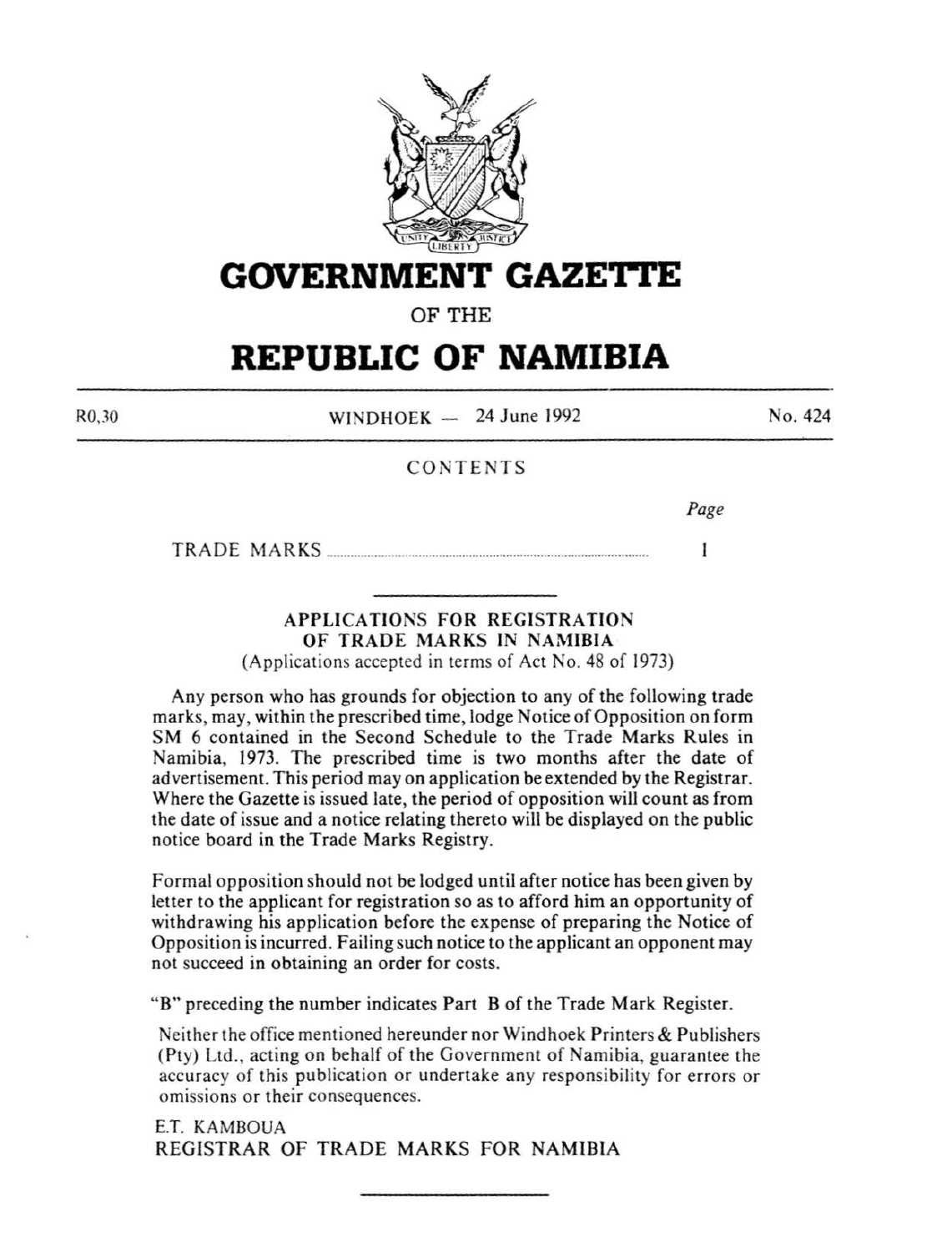

**GOVERNMENT GAZETTE** 

OF THE

# **REPUBLIC OF NAMIBIA**

R0,30

WINDHOEK  $-$  24 June 1992

No. 424

# CONTENTS

*Page* 

1

TRADE MARKS ............................................................................................. .

# APPLICATIONS FOR REGISTRATION OF TRADE MARKS IN NAMIBIA

(Applications accepted in terms of Act No. 48 of 1973)

Any person who has grounds for objection to any of the following trade marks, may, within the prescribed time, lodge Notice of Opposition on form SM 6 contained in the Second Schedule to the Trade Marks Rules in Namibia, 1973. The prescribed time is two months after the date of advertisement. This period may on application be extended by the Registrar. Where the Gazette is issued late, the period of opposition will count as from the date of issue and a notice relating thereto will be displayed on the public notice board in the Trade Marks Registry.

Formal opposition should not be lodged until after notice has been given by letter to the applicant for registration so as to afford him an opportunity of withdrawing his application before the expense of preparing the Notice of Opposition is incurred. Failing such notice to the applicant an opponent may not succeed in obtaining an order for costs.

"B" preceding the number indicates Part B of the Trade Mark Register.

Neither the office mentioned hereunder nor Windhoek Printers & Publishers (Pty) Ltd. , acting on behalf of the Government of Namibia, guarantee the accuracy of this publication or undertake any responsibility for errors or omissions or their consequences.

E.T. KAMBOUA REGISTRAR OF TRADE MARKS FOR NAMIBIA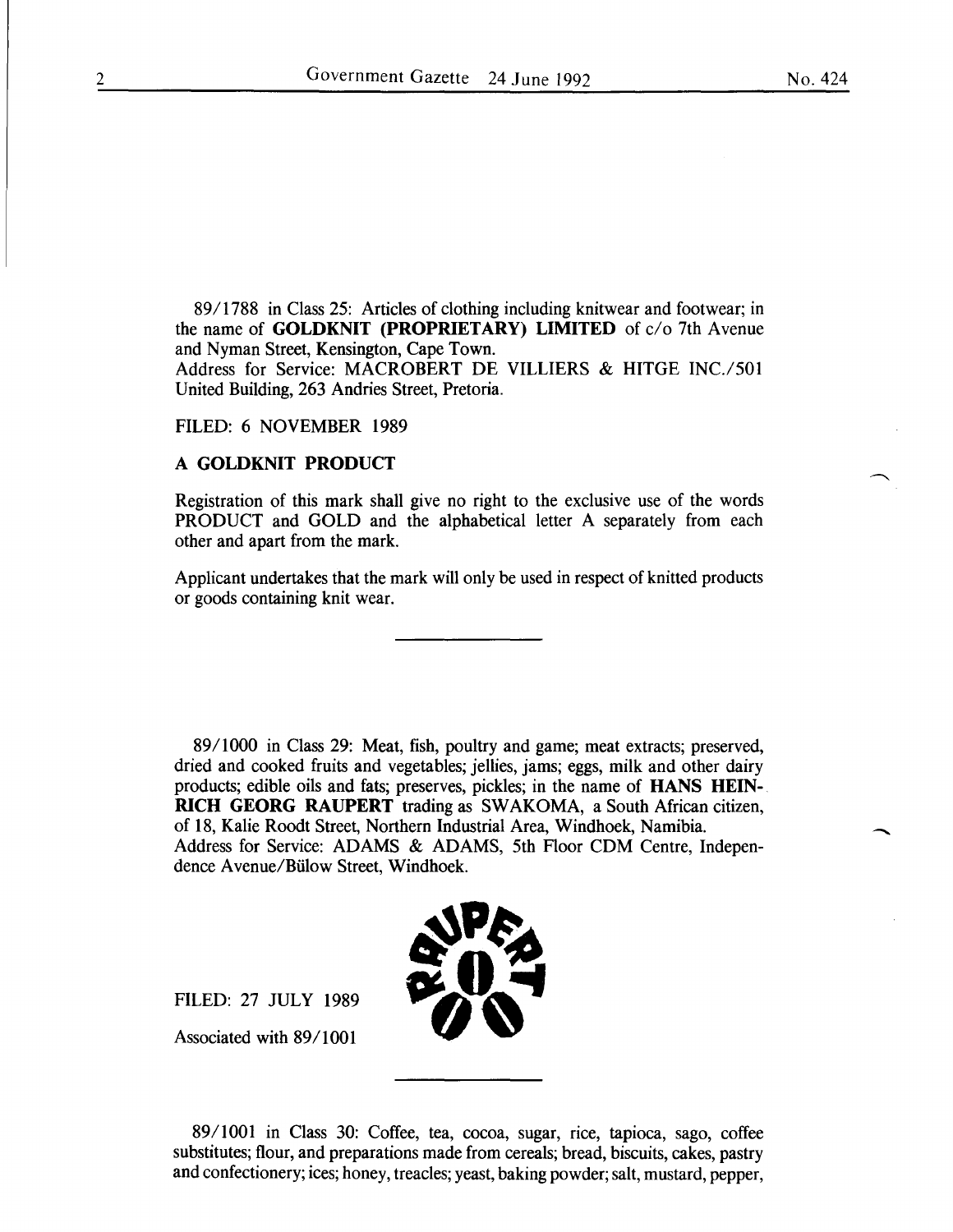-

89/1788 in Class 25: Articles of clothing including knitwear and footwear; in the name of **GOLDKNIT** (PROPRIETARY) LIMITED of  $c/o$  7th Avenue and Nyman Street, Kensington, Cape Town.

Address for Service: MACROBERT DE VILLIERS & HITGE INC./501 United Building, 263 Andries Street, Pretoria.

#### FILED: 6 NOVEMBER 1989

# A GOLDKNIT PRODUCT

Registration of this mark shall give no right to the exclusive use of the words PRODUCT and GOLD and the alphabetical letter A separately from each other and apart from the mark.

Applicant undertakes that the mark will only be used in respect of knitted products or goods containing knit wear.

89/1000 in Class 29: Meat, fish, poultry and game; meat extracts; preserved, dried and cooked fruits and vegetables; jellies, jams; eggs, milk and other dairy products; edible oils and fats; preserves, pickles; in the name of HANS HEIN-RICH GEORG RAUPERT trading as SW AKOMA, a South African citizen, of 18, Kalie Roodt Street, Northern Industrial Area, Windhoek, Namibia. Address for Service: ADAMS & ADAMS, 5th Floor CDM Centre, Independence A venue/Biilow Street, Windhoek.



FILED: 27 JULY 1989

Associated with 89/1001

89/1001 in Class 30: Coffee, tea, cocoa, sugar, rice, tapioca, sago, coffee substitutes; flour, and preparations made from cereals; bread, biscuits, cakes, pastry and confectionery; ices; honey, treacles; yeast, baking powder; salt, mustard, pepper,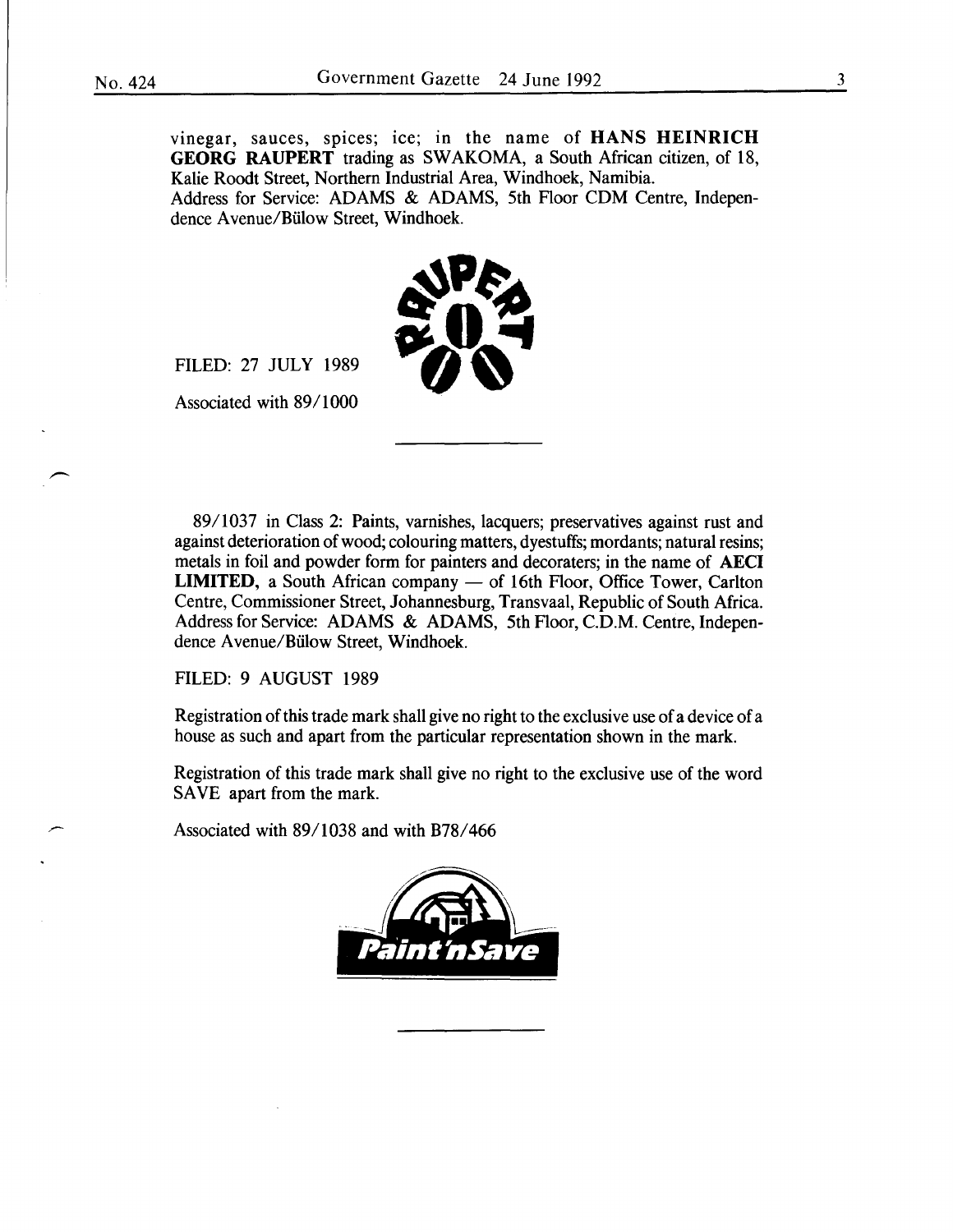vinegar, sauces, spices; ice; in the name of HANS HEINRICH GEORG RAUPERT trading as SWAKOMA, a South African citizen, of 18, Kalie Roodt Street, Northern Industrial Area, Windhoek, Namibia. Address for Service: ADAMS & ADAMS, 5th Floor CDM Centre, Independence A venue/Biilow Street, Windhoek.



FILED: 27 JULY 1989

Associated with 89/1000

89/1037 in Class 2: Paints, varnishes, lacquers; preservatives against rust and against deterioration of wood; colouring matters, dyestuffs; mordants; natural resins; metals in foil and powder form for painters and decoraters; in the name of AECI LIMITED, a South African company - of 16th Floor, Office Tower, Carlton Centre, Commissioner Street, Johannesburg, Transvaal, Republic of South Africa. Address for Service: ADAMS & ADAMS, 5th Floor, C.D.M. Centre, Independence A venue/Biilow Street, Windhoek.

FILED: 9 AUGUST 1989

Registration of this trade mark shall give no right to the exclusive use of a device of a house as such and apart from the particular representation shown in the mark.

Registration of this trade mark shall give no right to the exclusive use of the word SAVE apart from the mark.

Associated with 89/1038 and with B78/466

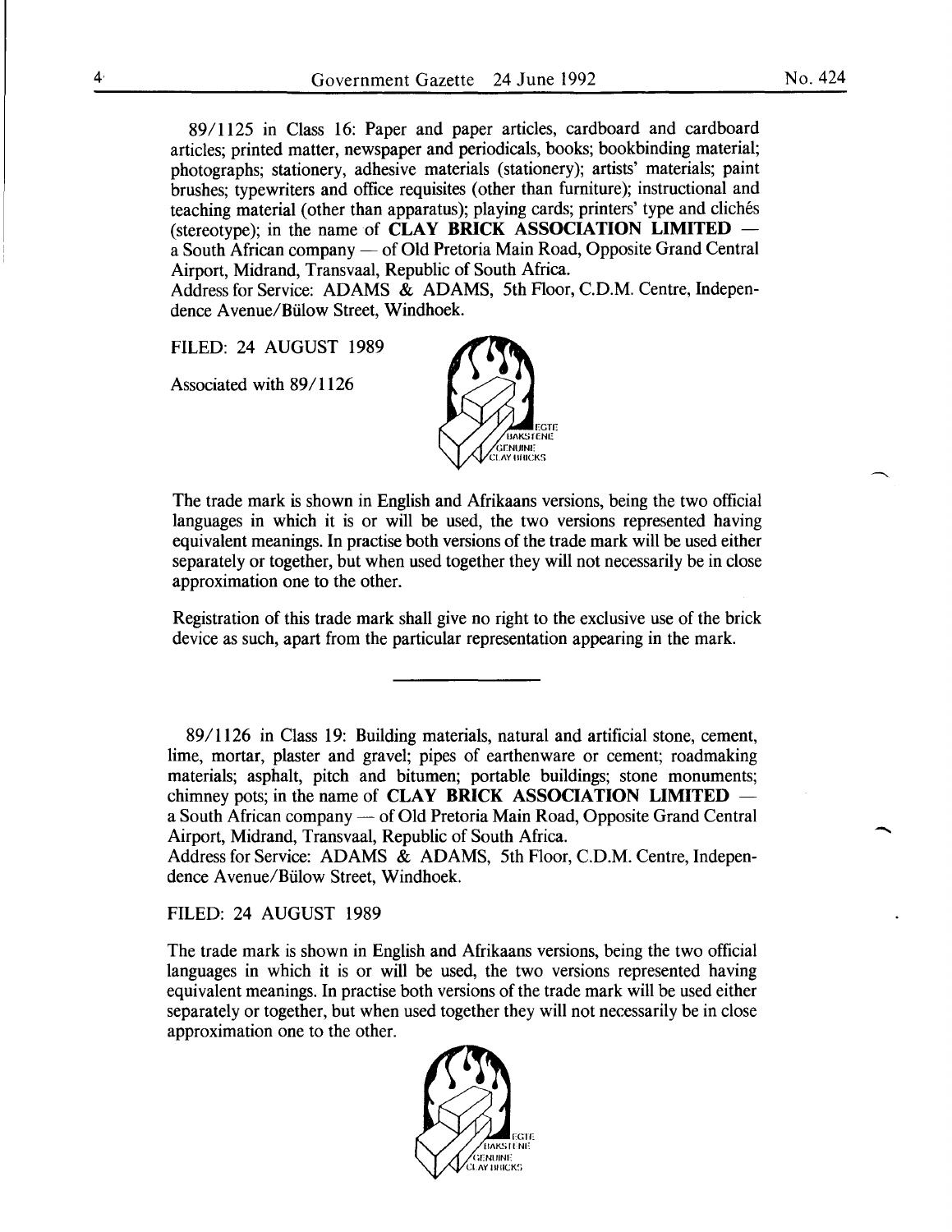89/1125 in Class 16: Paper and paper articles, cardboard and cardboard articles; printed matter, newspaper and periodicals, books; bookbinding material; photographs; stationery, adhesive materials (stationery); artists' materials; paint brushes; typewriters and office requisites (other than furniture); instructional and teaching material (other than apparatus); playing cards; printers' type and cliches (stereotype); in the name of **CLAY BRICK ASSOCIATION LIMITED** – a South African company — of Old Pretoria Main Road, Opposite Grand Central Airport, Midrand, Transvaal, Republic of South Africa.

Address for Service: ADAMS & ADAMS, 5th Floor, C.D.M. Centre, Independence A venue/Biilow Street, Windhoek.

FILED: 24 AUGUST 1989

Associated with 89/1126



The trade mark is shown in English and Afrikaans versions, being the two official languages in which it is or will be used, the two versions represented having equivalent meanings. In practise both versions of the trade mark will be used either separately or together, but when used together they will not necessarily be in close approximation one to the other.

Registration of this trade mark shall give no right to the exclusive use of the brick device as such, apart from the particular representation appearing in the mark.

89/1126 in Class 19: Building materials, natural and artificial stone, cement, lime, mortar, plaster and gravel; pipes of earthenware or cement; roadmaking materials; asphalt, pitch and bitumen; portable buildings; stone monuments; chimney pots; in the name of **CLAY BRICK ASSOCIATION LIMITED** – a South African company - of Old Pretoria Main Road, Opposite Grand Central Airport, Midrand, Transvaal, Republic of South Africa.

Address for Service: ADAMS & ADAMS, 5th Floor, C.D.M. Centre, Independence A venue/Biilow Street, Windhoek.

FILED: 24 AUGUST 1989

The trade mark is shown in English and Afrikaans versions, being the two official languages in which it is or will be used, the two versions represented having equivalent meanings. In practise both versions of the trade mark will be used either separately or together, but when used together they will not necessarily be in close approximation one to the other.



-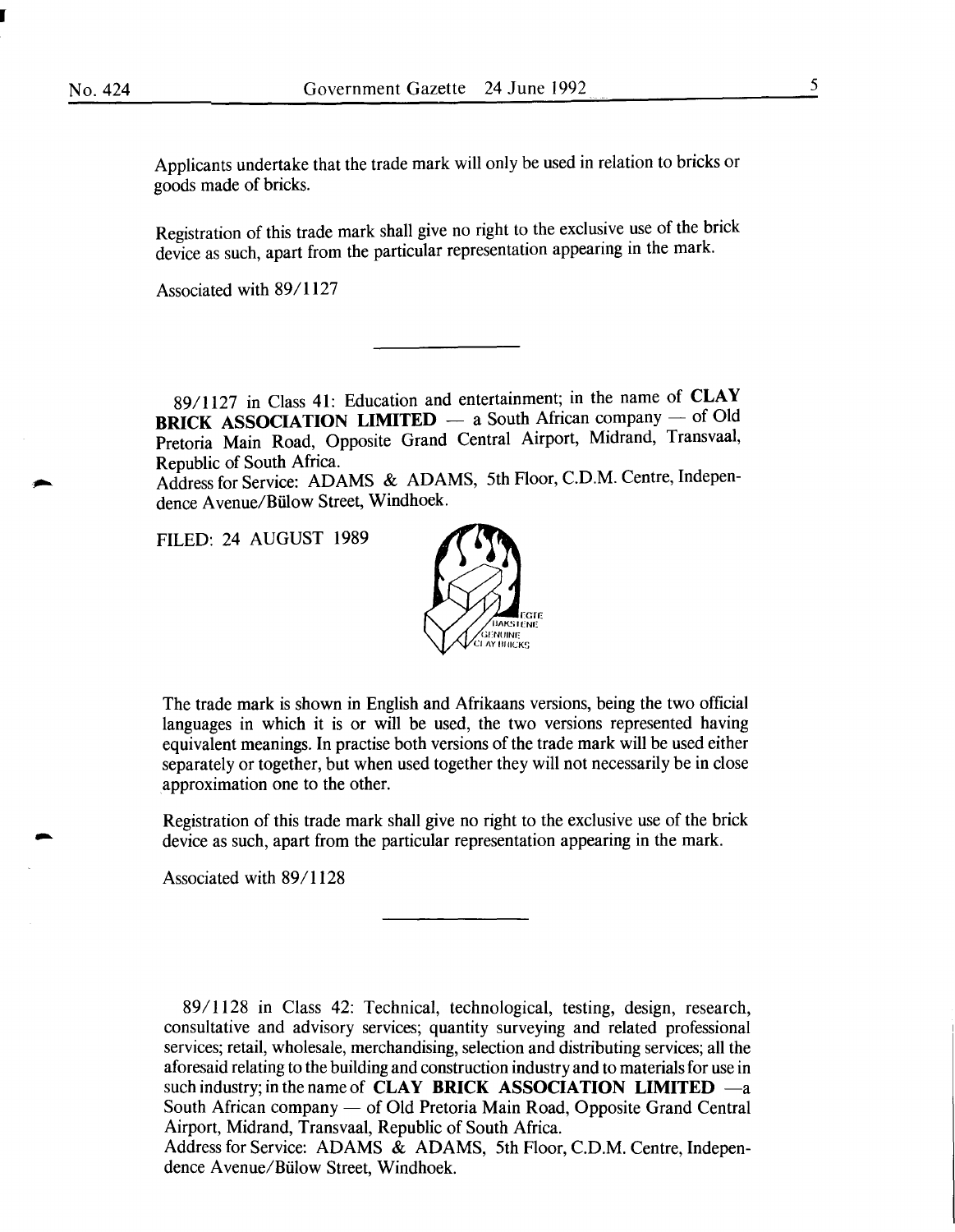-

Applicants undertake that the trade mark will only be used in relation to bricks or goods made of bricks.

Registration of this trade mark shall give no right to the exclusive use of the brick device as such, apart from the particular representation appearing in the mark.

Associated with 89/1127

89/1127 in Class **41:** Education and entertainment; in the name of **CLAY BRICK ASSOCIATION LIMITED** - a South African company - of Old Pretoria Main Road, Opposite Grand Central Airport, Midrand, Transvaal, Republic of South Africa.

Address for Service: ADAMS & ADAMS, 5th Floor, C.D.M. Centre, Independence Avenue/Bülow Street, Windhoek.

FILED: 24 AUGUST 1989



The trade mark is shown in English and Afrikaans versions, being the two official languages in which it is or will be used, the two versions represented having equivalent meanings. In practise both versions of the trade mark will be used either separately or together, but when used together they will not necessarily be in close approximation one to the other.

Registration of this trade mark shall give no right to the exclusive use of the brick device as such, apart from the particular representation appearing in the mark.

Associated with 89/1128

89/1128 in Class 42: Technical, technological, testing, design, research, consultative and advisory services; quantity surveying and related professional services; retail, wholesale, merchandising, selection and distributing services; all the aforesaid relating to the building and construction industry and to materials for use in such industry; in the name of **CLAY BRICK ASSOCIATION LIMITED**  $-a$ South African company — of Old Pretoria Main Road, Opposite Grand Central Airport, Midrand, Transvaal, Republic of South Africa.

Address for Service: ADAMS & ADAMS, 5th Floor, C.D.M. Centre, Independence A venue/Biilow Street, Windhoek.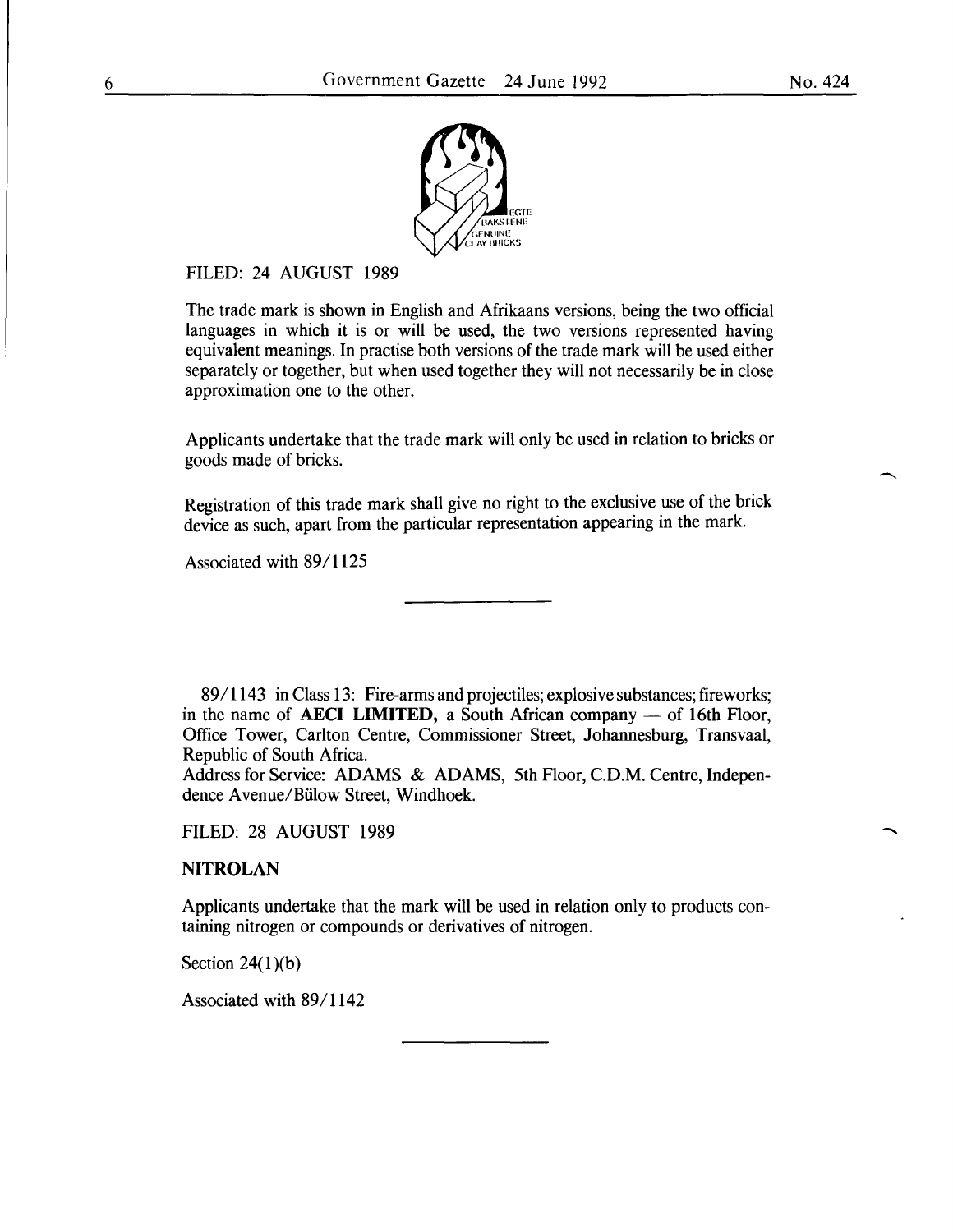-



# FILED: 24 AUGUST 1989

The trade mark is shown in English and Afrikaans versions, being the two official languages in which it is or will be used, the two versions represented having equivalent meanings. In practise both versions of the trade mark will be used either separately or together, but when used together they will not necessarily be in close approximation one to the other.

Applicants undertake that the trade mark will only be used in relation to bricks or goods made of bricks.

Registration of this trade mark shall give no right to the exclusive use of the brick device as such, apart from the particular representation appearing in the mark.

Associated with 89/1125

89/1143 in Class 13: Fire-arms and projectiles; explosive substances; fireworks; in the name of **AECI LIMITED**, a South African company  $-$  of 16th Floor, Office Tower, Carlton Centre, Commissioner Street, Johannesburg, Transvaal, Republic of South Africa.

Address for Service: ADAMS & ADAMS, 5th Floor, C.D.M. Centre, Independence A venue/Biilow Street, Windhoek.

FILED: 28 AUGUST 1989

# **NITROLAN**

Applicants undertake that the mark will be used in relation only to products containing nitrogen or compounds or derivatives of nitrogen.

Section  $24(1)(b)$ 

Associated with 89/1142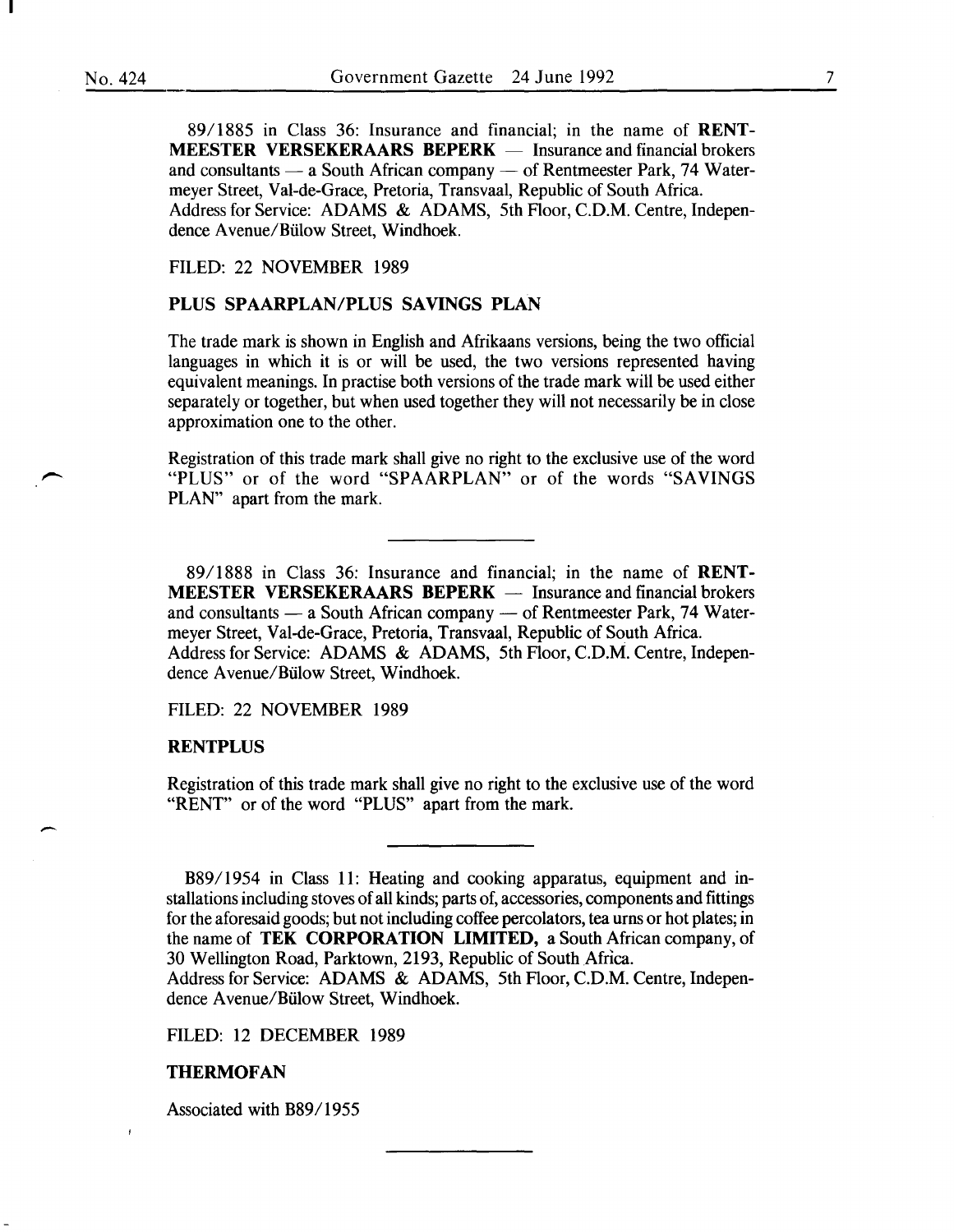89/1885 in Class 36: Insurance and financial; in the name of RENT-**MEESTER VERSEKERAARS BEPERK**  $-$  Insurance and financial brokers and consultants  $-$  a South African company  $-$  of Rentmeester Park, 74 Watermeyer Street, Val-de-Grace, Pretoria, Transvaal, Republic of South Africa. Address for Service: ADAMS & ADAMS, 5th Floor, C.D.M. Centre, Independence A venue/Biilow Street, Windhoek.

#### FILED: 22 NOVEMBER 1989

#### PLUS SPAARPLAN/PLUS SAVINGS PLAN

The trade mark is shown in English and Afrikaans versions, being the two official languages in which it is or will be used, the two versions represented having equivalent meanings. In practise both versions of the trade mark will be used either separately or together, but when used together they will not necessarily be in close approximation one to the other.

Registration of this trade mark shall give no right to the exclusive use of the word "PLUS" or of the word "SPAARPLAN" or of the words "SAVINGS PLAN" apart from the mark.

89/1888 in Class 36: Insurance and financial; in the name of RENT-**MEESTER VERSEKERAARS BEPERK**  $-$  Insurance and financial brokers and consultants  $-$  a South African company  $-$  of Rentmeester Park, 74 Watermeyer Street, Val-de-Grace, Pretoria, Transvaal, Republic of South Africa. Address for Service: ADAMS & ADAMS, 5th Floor, C.D.M. Centre, Independence A venue/Biilow Street, Windhoek.

FILED: 22 NOVEMBER 1989

#### RENTPLUS

-

Registration of this trade mark shall give no right to the exclusive use of the word "RENT" or of the word "PLUS" apart from the mark.

B89/1954 in Class 11: Heating and cooking apparatus, equipment and installations including stoves of all kinds; parts of, accessories, components and fittings for the aforesaid goods; but not including coffee percolators, tea urns or hot plates; in the name of TEK CORPORATION LIMITED, a South African company, of 30 Wellington Road, Parktown, 2193, Republic of South Africa.

Address for Service: ADAMS & ADAMS, 5th Floor, C.D.M. Centre, Independence A venue/Biilow Street, Windhoek.

FILED: 12 DECEMBER 1989

#### THERMOFAN

 $\pmb{\mathfrak{f}}$ 

Associated with B89/1955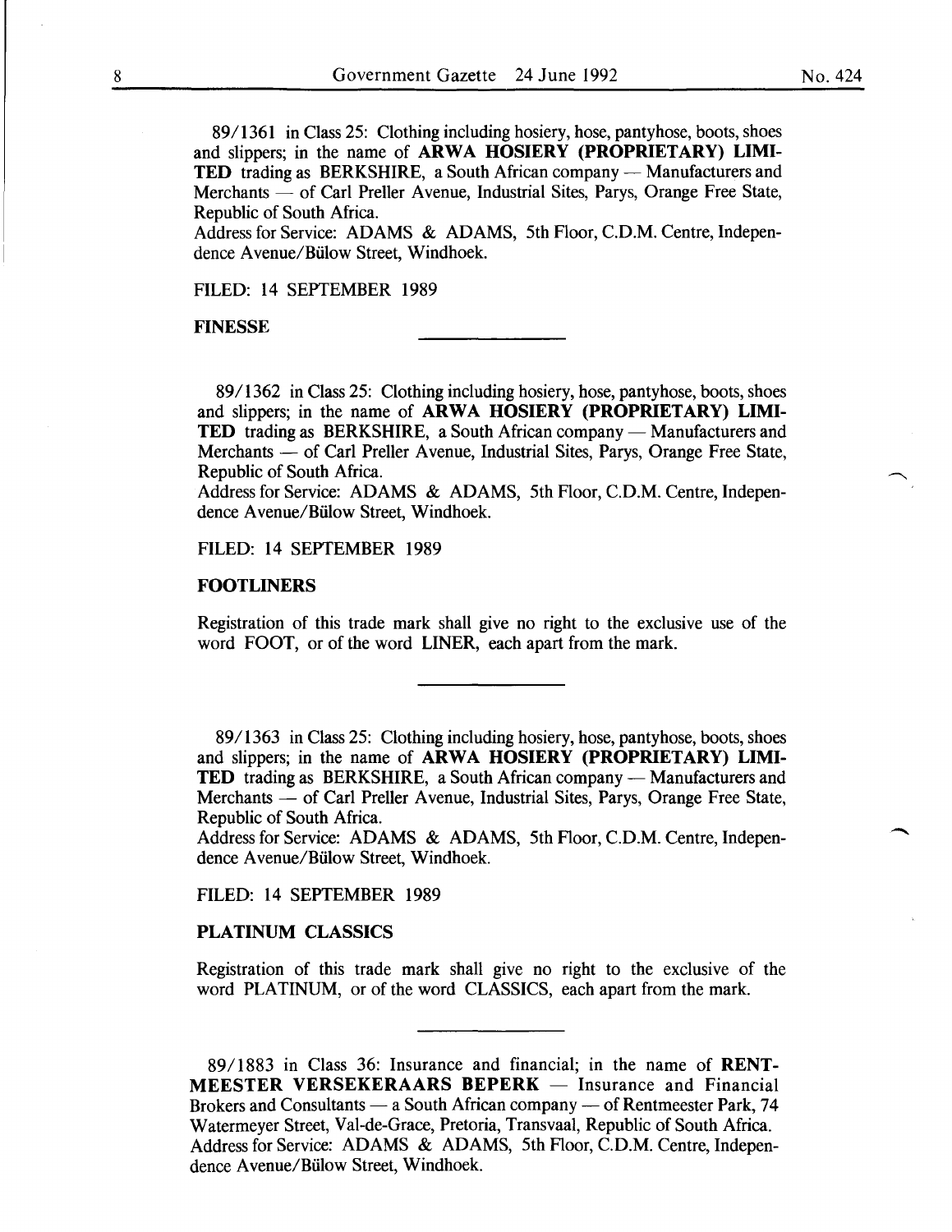89/1361 in Class 25: Clothing including hosiery, hose, pantyhose, boots, shoes and slippers; in the name of ARWA HOSIERY (PROPRIETARY) LIMI-TED trading as BERKSHIRE, a South African company - Manufacturers and Merchants — of Carl Preller Avenue, Industrial Sites, Parys, Orange Free State, Republic of South Africa.

Address for Service: ADAMS & ADAMS, 5th Floor, C.D.M. Centre, Independence A venue/Biilow Street, Windhoek.

FILED: 14 SEPTEMBER 1989

FINESSE

89/1362 in Class 25: Clothing including hosiery, hose, pantyhose, boots, shoes and slippers; in the name of ARWA HOSIERY (PROPRIETARY) LIMI-TED trading as BERKSHIRE, a South African company - Manufacturers and Merchants - of Carl Preller Avenue, Industrial Sites, Parys, Orange Free State, Republic of South Africa.

Address for Service: ADAMS & ADAMS, 5th Floor, C.D.M. Centre, Independence A venue/Biilow Street, Windhoek.

FILED: 14 SEPTEMBER 1989

#### FOOTLINERS

Registration of this trade mark shall give no right to the exclusive use of the word FOOT, or of the word LINER, each apart from the mark.

89/1363 in Class 25: Clothing including hosiery, hose, pantyhose, boots, shoes and slippers; in the name of ARWA HOSIERY (PROPRIETARY) LIMI-**TED** trading as BERKSHIRE, a South African company — Manufacturers and Merchants - of Carl Preller Avenue, Industrial Sites, Parys, Orange Free State, Republic of South Africa.

Address for Service: ADAMS & ADAMS, 5th Floor, C.D.M. Centre, Independence A venue/Biilow Street, Windhoek.

FILED: 14 SEPTEMBER 1989

#### PLATINUM CLASSICS

Registration of this trade mark shall give no right to the exclusive of the word PLATINUM, or of the word CLASSICS, each apart from the mark.

89/1883 in Class 36: Insurance and financial; in the name of RENT-MEESTER VERSEKERAARS BEPERK - Insurance and Financial Brokers and Consultants  $-$  a South African company  $-$  of Rentmeester Park, 74 Watermeyer Street, Val-de-Grace, Pretoria, Transvaal, Republic of South Africa. Address for Service: ADAMS & ADAMS, 5th Floor, C.D.M. Centre, Independence A venue/Biilow Street, Windhoek.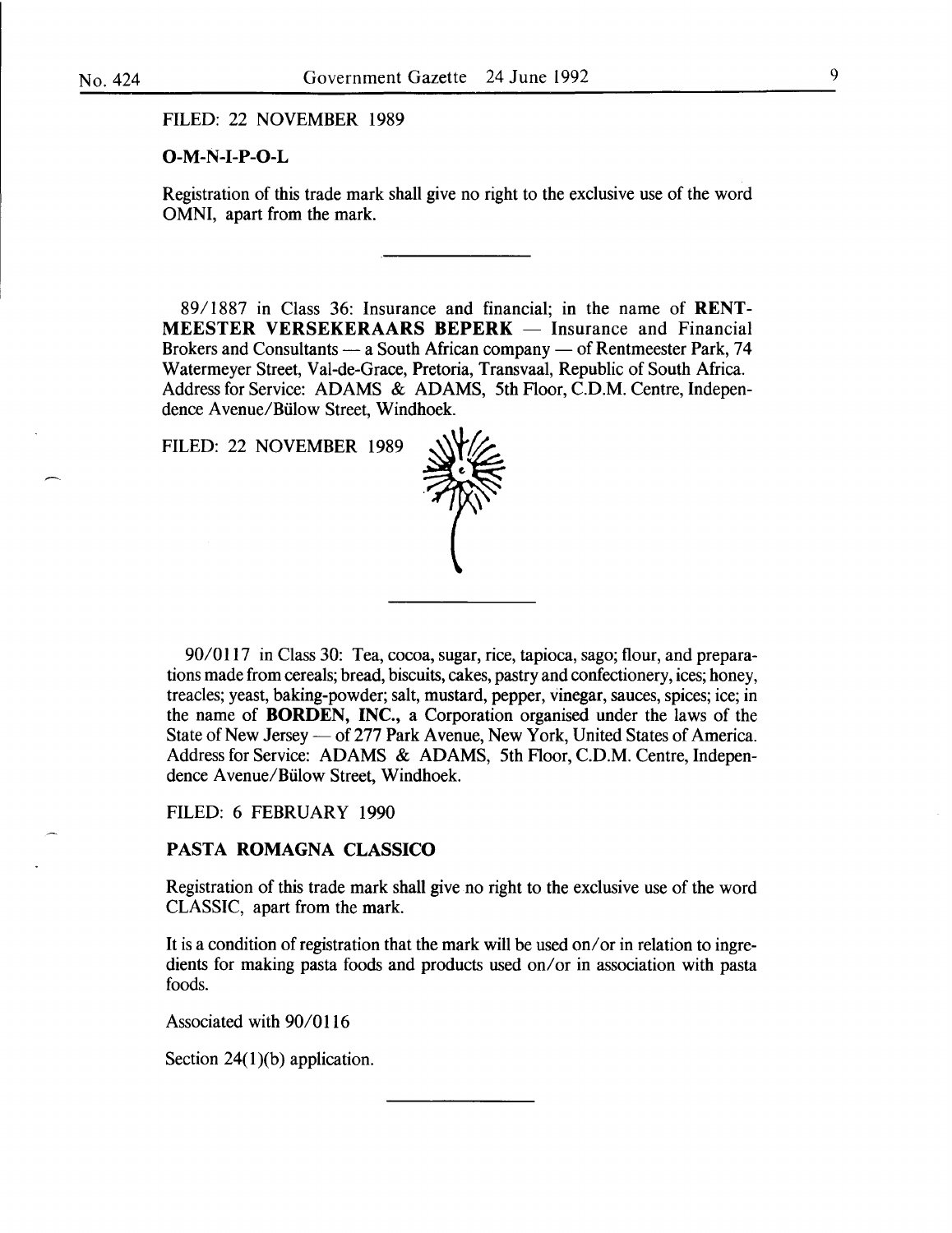FILED: 22 NOVEMBER 1989

#### $O-M-N-I-P-O-L$

Registration of this trade mark shall give no right to the exclusive use of the word OMNI, apart from the mark.

89/1887 in Class 36: Insurance and financial; in the name of RENT-  $MEESTER VERSEKERAARS BEPERK - Insurance and Financial$ Brokers and Consultants  $-$  a South African company  $-$  of Rentmeester Park, 74 Watermeyer Street, Val-de-Grace, Pretoria, Transvaal, Republic of South Africa. Address for Service: ADAMS & ADAMS, 5th Floor, C.D.M. Centre, Independence A venue/Biilow Street, Windhoek.

FILED: 22 NOVEMBER 1989



90/0117 in Class 30: Tea, cocoa, sugar, rice, tapioca, sago; flour, and preparations made from cereals; bread, biscuits, cakes, pastry and confectionery, ices; honey, treacles; yeast, baking-powder; salt, mustard, pepper, vinegar, sauces, spices; ice; in the name of **BORDEN**, **INC.**, a Corporation organised under the laws of the State of New Jersey — of 277 Park Avenue, New York, United States of America. Address for Service: ADAMS & ADAMS, 5th Floor, C.D.M. Centre, Independence A venue/Biilow Street, Windhoek.

FILED: 6 FEBRUARY 1990

# PASTA ROMAGNA CLASSICO

Registration of this trade mark shall give no right to the exclusive use of the word CLASSIC, apart from the mark.

It is a condition of registration that the mark will be used on/ or in relation to ingredients for making pasta foods and products used on/or in association with pasta foods.

Associated with 90/0116

Section 24 $(1)(b)$  application.